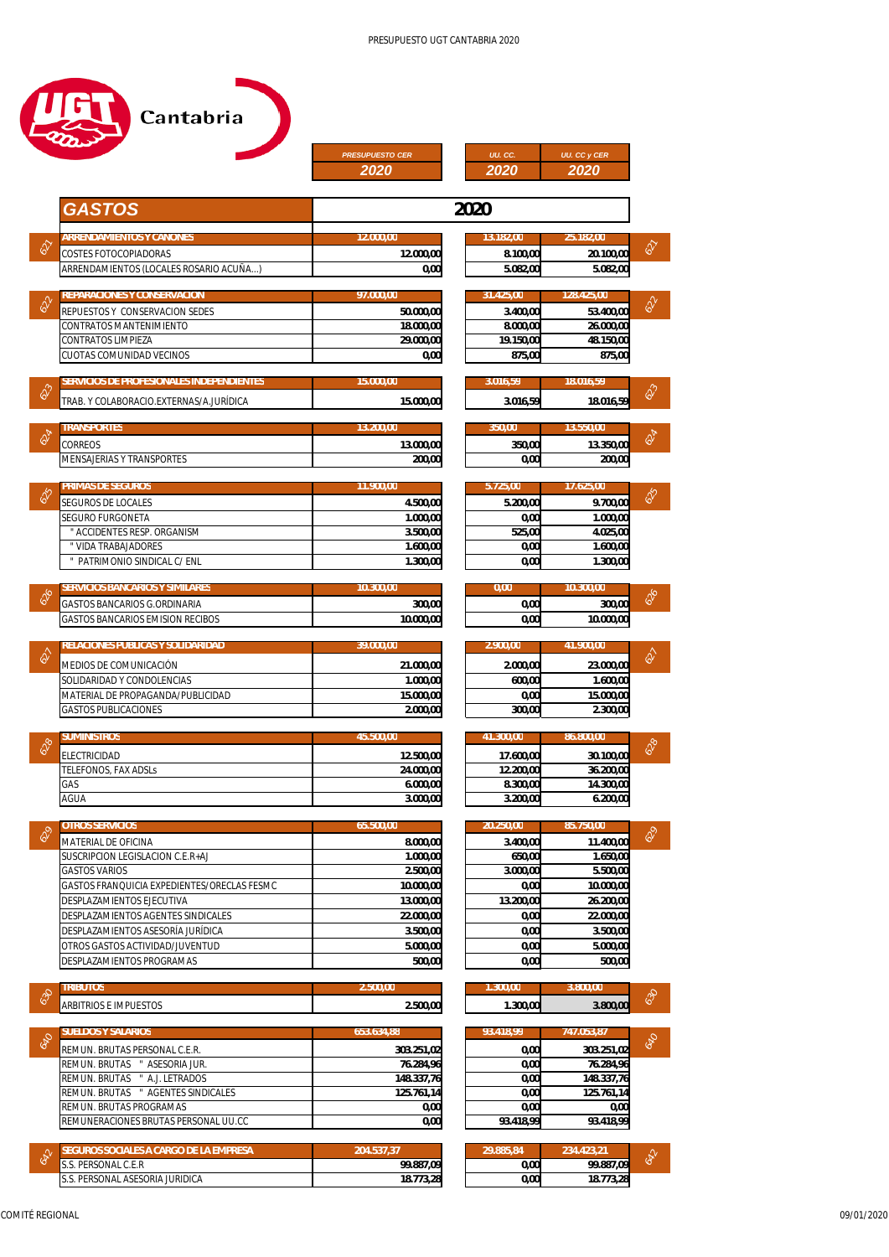

|                                                                                             | <b>PRESUPUESTO CER</b><br><b>2020</b> | UU.CC.<br><b>2020</b> | <b>UU. CC y CER</b><br>2020                              |  |
|---------------------------------------------------------------------------------------------|---------------------------------------|-----------------------|----------------------------------------------------------|--|
| <b>GASTOS</b>                                                                               |                                       | 2020                  |                                                          |  |
| <b>ARRENDAMIENTOS Y CANONES</b>                                                             | 12.000,00                             | 13.182,00             | 25.182,00                                                |  |
| COSTES FOTOCOPIADORAS                                                                       | 12.000,00                             | 8.100,00              | $\hat{\diamond}$<br>20.100,00                            |  |
| ARRENDAMIENTOS (LOCALES ROSARIO ACUÑA)                                                      | 0,00                                  | 5.082,00              | 5.082,00                                                 |  |
| REPARACIONES Y CONSERVACION                                                                 | 97.000,00                             | 31.425,00             | 128.425,00                                               |  |
| REPUESTOS Y CONSERVACION SEDES                                                              | 50.000,00                             | 3.400,00              | $\sqrt{\delta}$<br>53.400,00                             |  |
| CONTRATOS MANTENIMIENTO                                                                     | 18.000,00                             | 8.000,00              | 26.000,00                                                |  |
| CONTRATOS LIMPIEZA<br>CUOTAS COMUNIDAD VECINOS                                              | 29.000,00<br>0,00                     | 19.150,00<br>875,00   | 48.150,00<br>875,00                                      |  |
|                                                                                             | 15.000,00                             | 3.016,59              | 18.016,59                                                |  |
| <i>SERVICIOS DE PROFESIONALES INDEPENDIENTES</i><br>TRAB. Y COLABORACIO.EXTERNAS/A.JURÍDICA | 15.000,00                             | 3.016,59              | $\hat{\diamond}$<br>18.016,59                            |  |
|                                                                                             |                                       |                       |                                                          |  |
| TRANSPORTES<br><b>CORREOS</b>                                                               | 13.200,00<br>13.000,00                | 350,00<br>350,00      | 13.550,00<br>624<br>13.350,00                            |  |
| <b>MENSAJERIAS Y TRANSPORTES</b>                                                            | 200,00                                | 0,00                  | 200,00                                                   |  |
| PRIMAS DE SEGUROS                                                                           | 11.900,00                             | 5.725,00              | 17.625,00                                                |  |
| <b>SEGUROS DE LOCALES</b>                                                                   | 4.500,00                              | 5.200,00              | $\delta$ s<br>9.700,00                                   |  |
| <b>SEGURO FURGONETA</b>                                                                     | 1.000,00                              | 0,00                  | 1.000,00                                                 |  |
| " ACCIDENTES RESP. ORGANISM                                                                 | 3.500,00                              | 525,00                | 4.025,00                                                 |  |
| " VIDA TRABAJADORES                                                                         | 1.600,00                              | 0,00                  | 1.600,00                                                 |  |
| " PATRIMONIO SINDICAL C/ ENL                                                                | 1.300,00                              | 0,00                  | 1.300,00                                                 |  |
| SERVICIOS BANCARIOS Y SIMILARES                                                             | 10.300,00                             | 0,00                  | 10.300,00<br>$\delta_{\sigma}$                           |  |
| GASTOS BANCARIOS G.ORDINARIA<br><b>GASTOS BANCARIOS EMISION RECIBOS</b>                     | 300,00<br>10.000,00                   | 0,00<br>0,00          | 300,00<br>10.000,00                                      |  |
|                                                                                             |                                       |                       |                                                          |  |
| RELACIONES PUBLICAS Y SOLIDARIDAD<br>MEDIOS DE COMUNICACIÓN                                 | 39.000,00<br>21.000,00                | 2.900,00<br>2.000,00  | 41.900,00<br>$\hat{\diamond}$<br>23.000,00               |  |
| SOLIDARIDAD Y CONDOLENCIAS                                                                  | 1.000,00                              | 600,00                | 1.600,00                                                 |  |
| MATERIAL DE PROPAGANDA/PUBLICIDAD                                                           | 15.000,00                             | 0,00                  | 15.000,00                                                |  |
| <b>GASTOS PUBLICACIONES</b>                                                                 | 2.000,00                              | 300,00                | 2.300,00                                                 |  |
| SUMINISTROS                                                                                 | 45.500,00                             | 41.300.00             | 86.800,00                                                |  |
| ELECTRICIDAD                                                                                | 12.500,00                             | 17.600,00             | $\delta_{\!\! \gamma \!\! \delta}^{\cal O}$<br>30.100.00 |  |
| <b>TELEFONOS, FAX ADSLs</b>                                                                 | 24.000,00                             | 12.200,00             | 36.200,00                                                |  |
| GAS<br>AGUA                                                                                 | 6.000,00<br>3.000,00                  | 8.300,00<br>3.200,00  | 14.300,00<br>6.200,00                                    |  |
|                                                                                             |                                       |                       |                                                          |  |
| <b>OTROS SERVICIOS</b><br><b>MATERIAL DE OFICINA</b>                                        | 65.500,00<br>8.000,00                 | 20.250,00<br>3.400,00 | 85.750,00<br>650<br>11.400,00                            |  |
| SUSCRIPCION LEGISLACION C.E.R+AJ                                                            | 1.000,00                              | 650,00                | 1.650,00                                                 |  |
| <b>GASTOS VARIOS</b>                                                                        | 2.500,00                              | 3.000,00              | 5.500,00                                                 |  |
| GASTOS FRANQUICIA EXPEDIENTES/ORECLAS FESMC                                                 | 10.000,00                             | 0,00                  | 10.000,00                                                |  |
| DESPLAZAMIENTOS EJECUTIVA                                                                   | 13.000,00                             | 13.200,00             | 26.200,00                                                |  |
| DESPLAZAMIENTOS AGENTES SINDICALES<br>DESPLAZAMIENTOS ASESORÍA JURÍDICA                     | 22.000,00                             | 0,00<br>0,00          | 22.000,00                                                |  |
| OTROS GASTOS ACTIVIDAD/JUVENTUD                                                             | 3.500,00<br>5.000,00                  | 0,00                  | 3.500,00<br>5.000,00                                     |  |
| DESPLAZAMIENTOS PROGRAMAS                                                                   | 500,00                                | 0,00                  | 500,00                                                   |  |
| <b>TRIBUTOS</b>                                                                             | 2.500,00                              | 1.300,00              | 3.800,00                                                 |  |
| <b>ARBITRIOS E IMPUESTOS</b>                                                                | 2.500,00                              | 1.300,00              | 630<br>3.800,00                                          |  |
| <b>SUELDOS Y SALARIOS</b>                                                                   | 653.634,88                            | 93.418,99             | 747.053,87                                               |  |
| REMUN. BRUTAS PERSONAL C.E.R.                                                               | 303.251,02                            | 0,00                  | 040<br>303.251,02                                        |  |
| REMUN. BRUTAS " ASESORIA JUR.                                                               | 76.284,96                             | 0,00                  | 76.284,96                                                |  |
| REMUN. BRUTAS " A.J. LETRADOS                                                               | 148.337,76                            | 0,00                  | 148.337,76                                               |  |
| REMUN. BRUTAS " AGENTES SINDICALES<br>REMUN. BRUTAS PROGRAMAS                               | 125.761,14<br>0,00                    | 0,00<br>0,00          | 125.761,14<br>0,00                                       |  |
| REMUNERACIONES BRUTAS PERSONAL UU.CC                                                        | 0,00                                  | 93.418,99             | 93.418,99                                                |  |
|                                                                                             |                                       |                       |                                                          |  |
| SEGUROS SOCIALES A CARGO DE LA EMPRESA<br>S.S. PERSONAL C.E.R                               | 204.537,37<br>99.887,09               | 29.885,84<br>0,00     | 234.423,21<br>642<br>99.887,09                           |  |
| S.S. PERSONAL ASESORIA JURIDICA                                                             | 18.773,28                             | 0,00                  | 18.773,28                                                |  |

| 25,00    | 17.625,00 |            |
|----------|-----------|------------|
| 5.200,00 | 9.700,00  | <b>SSS</b> |
| 0,00     | 1.000,00  |            |
| 525,00   | 4.025,00  |            |
| 0,00     | 1.600,00  |            |
| 0,00     | 1.300,00  |            |
|          |           |            |
| .00      | 10.300.00 |            |
|          |           |            |
| 0,00     | 300,00    | $\delta_6$ |
| 0,00     | 10.000,00 |            |
|          |           |            |
| 00,00    | 41.900,00 |            |
| 2.000.00 | 23.000,00 | Ś          |

| 2.000,00 | 23.000,00 |  |
|----------|-----------|--|
| 600,00   | 1.600,00  |  |
| 0,00     | 15.000,00 |  |
| 300,00   | 2.300,00  |  |
|          |           |  |

|                  | <i>86.800.00</i> | 41.300.00 |
|------------------|------------------|-----------|
| $\delta_{\rm s}$ | 30.100,00        | 17.600,00 |
|                  | 36.200,00        | 12.200,00 |
|                  | 14.300,00        | 8.300,00  |
|                  | 6.200,00         | 3.200,00  |

| 20.250.00 | 85.750.00 |    |
|-----------|-----------|----|
| 3.400,00  | 11.400,00 | PO |
| 650,00    | 1.650,00  |    |
| 3.000,00  | 5.500,00  |    |
| 0,00      | 10.000,00 |    |
| 13.200,00 | 26.200,00 |    |
| 0,00      | 22.000,00 |    |
| 0,00      | 3.500,00  |    |
| 0,00      | 5.000,00  |    |
| 0,00      | 500,00    |    |

| 3.800.00 | 1.300.00 |
|----------|----------|
| 3.800,00 | 1.300,00 |

|     | 747.053,87 | 93.418.99 |
|-----|------------|-----------|
| 640 | 303.251,02 | 0,00      |
|     | 76.284,96  | 0,00      |
|     | 148.337,76 | 0,00      |
|     | 125.761,14 | 0,00      |
|     | 0,00       | 0,00      |
|     | 93.418,99  | 93.418,99 |

| ,234.423.21 | 29.885.84 |
|-------------|-----------|
| 99.887,09   | 0,00      |
| 18.773,28   | 0,00      |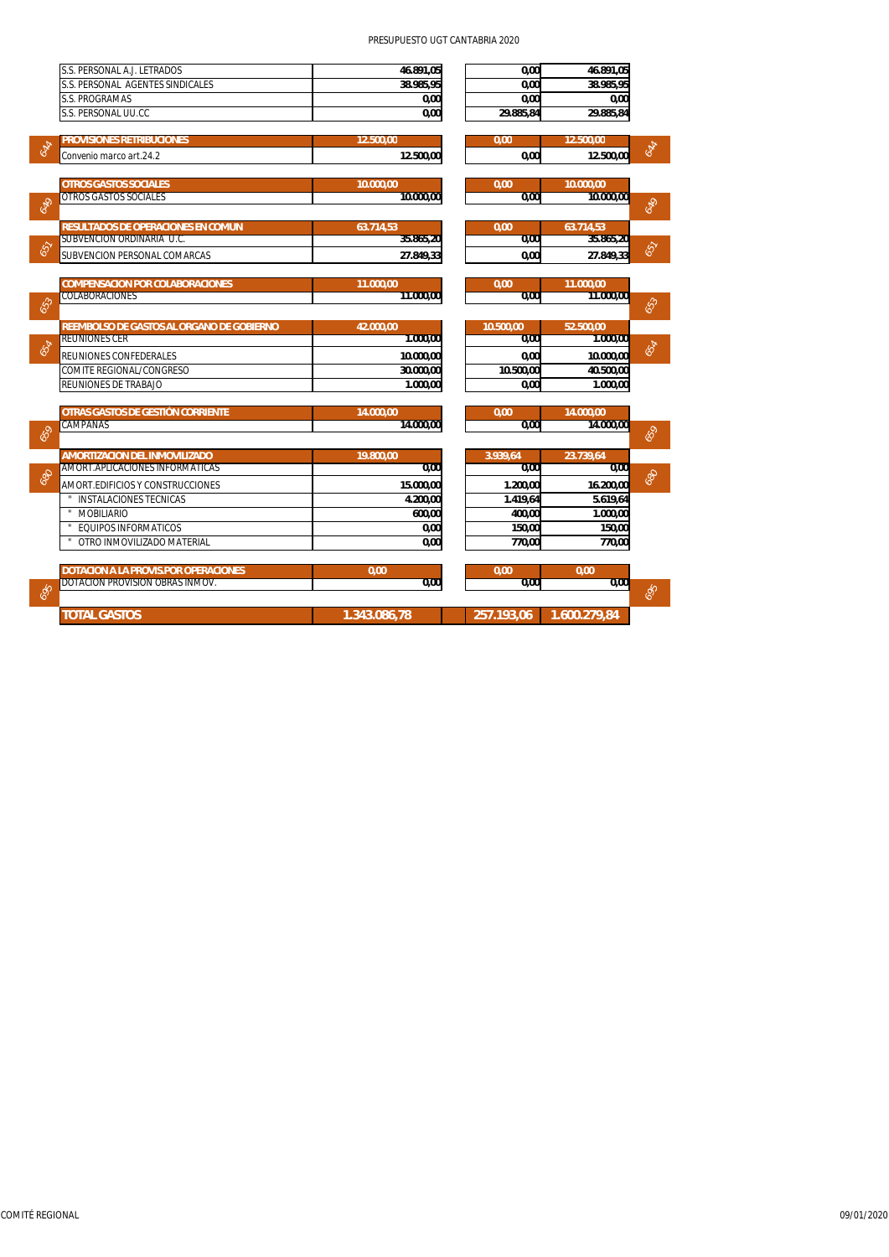## PRESUPUESTO UGT CANTABRIA 2020

|     | S.S. PERSONAL A.J. LETRADOS                                 | 46.891,05              | 0.00             | 46.891,05              |     |
|-----|-------------------------------------------------------------|------------------------|------------------|------------------------|-----|
|     | S.S. PERSONAL AGENTES SINDICALES                            | 38.985,95              | 0,00             | 38.985.95              |     |
|     | <b>S.S. PROGRAMAS</b>                                       | 0,00                   | 0,00             | 0.00                   |     |
|     | S.S. PERSONAL UU.CC                                         | 0,00                   | 29.885,84        | 29.885,84              |     |
|     |                                                             |                        |                  |                        |     |
| 644 | <b>PROVISIONES RETRIBUCIONES</b><br>Convenio marco art.24.2 | 12.500,00<br>12.500,00 | 0,00<br>0.00     | 12.500,00<br>12.500.00 | 644 |
|     |                                                             |                        |                  |                        |     |
|     | <b>OTROS GASTOS SOCIALES</b>                                | 10.000.00              | 0.00             | 10.000.00              |     |
| 649 | <b>OTROS GASTOS SOCIALES</b>                                | 10.000,00              | 0.00             | 10.000.00              | 649 |
|     |                                                             |                        |                  |                        |     |
|     | <b>RESULTADOS DE OPERACIONES EN COMUN</b>                   | 63.714,53              | 0,00             | 63.714,53              |     |
| 657 | SUBVENCION ORDINARIA U.C.                                   | 35.865,20              | 0,00             | 35.865,20              | 657 |
|     | <b>SUBVENCION PERSONAL COMARCAS</b>                         | 27.849.33              | 0.00             | 27.849.33              |     |
|     | <b>COMPENSACION POR COLABORACIONES</b>                      | 11.000,00              | 0.00             | 11.000,00              |     |
|     | <b>COLABORACIONES</b>                                       | 11.000.00              | 0.00             | 11.000.00              |     |
| 653 |                                                             |                        |                  |                        | 653 |
|     | REEMBOLSO DE GASTOS AL ORGANO DE GOBIERNO                   | 42.000,00              | 10.500,00        | 52.500,00              |     |
| 659 | <b>REUNIONES CER</b>                                        | 1.000.00               | 0.00             | 1.000.00               | 654 |
|     | REUNIONES CONFEDERALES                                      | 10.000,00              | 0,00             | 10.000,00              |     |
|     | <b>COMITE REGIONAL/CONGRESO</b>                             | 30.000.00              | 10.500,00        | 40.500.00              |     |
|     | <b>REUNIONES DE TRABAJO</b>                                 | 1.000,00               | 0.00             | 1.000.00               |     |
|     | OTRAS GASTOS DE GESTIÓN CORRIENTE                           | 14.000.00              | 0.00             | 14.000.00              |     |
|     | CAMPANAS                                                    | 14.000.00              | 0.00             | 14.000.00              |     |
| 659 |                                                             |                        |                  |                        | 659 |
|     | <b>AMORTIZACION DEL INMOVILIZADO</b>                        | 19,800.00              | 3.939,64         | 23.739,64              |     |
| 989 | AMORT.APLICACIONES INFORMATICAS                             | 0.00                   | 0.00             | 0.00                   | 999 |
|     | AMORT.EDIFICIOS Y CONSTRUCCIONES                            | 15.000,00              | 1.200.00         | 16.200,00              |     |
|     | <b>INSTALACIONES TECNICAS</b>                               | 4.200.00               | 1.419.64         | 5.619.64               |     |
|     | <b>MOBILIARIO</b><br><b>EQUIPOS INFORMATICOS</b>            | 600,00                 | 400.00           | 1.000,00               |     |
|     | OTRO INMOVILIZADO MATERIAL                                  | 0,00<br>0,00           | 150,00<br>770.00 | 150.00<br>770.00       |     |
|     |                                                             |                        |                  |                        |     |
|     | <b>DOTACION A LA PROVIS.POR OPERACIONES</b>                 | 0,00                   | 0.00             | 0.00                   |     |
|     | DOTACIÓN PROVISION OBRAS INMOV.                             | 0,00                   | 0.00             | 0.00                   |     |
| 695 |                                                             |                        |                  |                        | 695 |
|     | <b>TOTAL GASTOS</b>                                         | 1.343.086,78           | 257.193,06       | 1.600.279.84           |     |